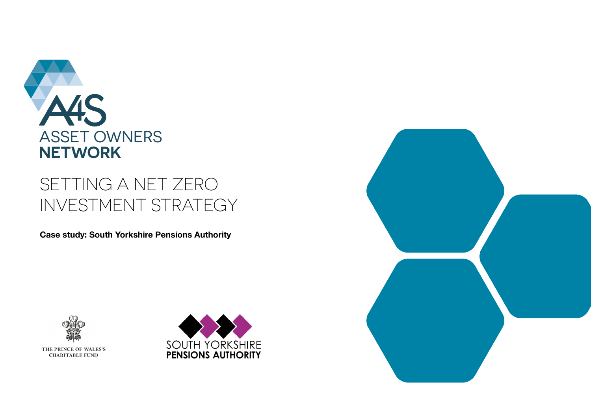

## SETTING A NET ZERO INVESTMENT STRATEGY

**Case study: South Yorkshire Pensions Authority**



THE PRINCE OF WALES'S **CHARITABLE FUND** 



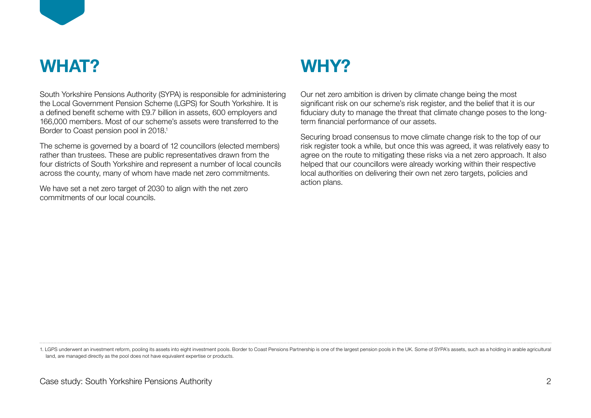

## **WHAT? WHY?**

South Yorkshire Pensions Authority (SYPA) is responsible for administering the Local Government Pension Scheme (LGPS) for South Yorkshire. It is a defined benefit scheme with £9.7 billion in assets, 600 employers and 166,000 members. Most of our scheme's assets were transferred to the Border to Coast pension pool in 2018.<sup>1</sup>

The scheme is governed by a board of 12 councillors (elected members) rather than trustees. These are public representatives drawn from the four districts of South Yorkshire and represent a number of local councils across the county, many of whom have made net zero commitments.

We have set a net zero target of 2030 to align with the net zero commitments of our local councils.

Our net zero ambition is driven by climate change being the most significant risk on our scheme's risk register, and the belief that it is our fiduciary duty to manage the threat that climate change poses to the longterm financial performance of our assets.

Securing broad consensus to move climate change risk to the top of our risk register took a while, but once this was agreed, it was relatively easy to agree on the route to mitigating these risks via a net zero approach. It also helped that our councillors were already working within their respective local authorities on delivering their own net zero targets, policies and action plans.

1. LGPS underwent an investment reform, pooling its assets into eight investment pools. Border to Coast Pensions Partnership is one of the largest pension pools in the UK. Some of SYPA's assets, such as a holding in arable land, are managed directly as the pool does not have equivalent expertise or products.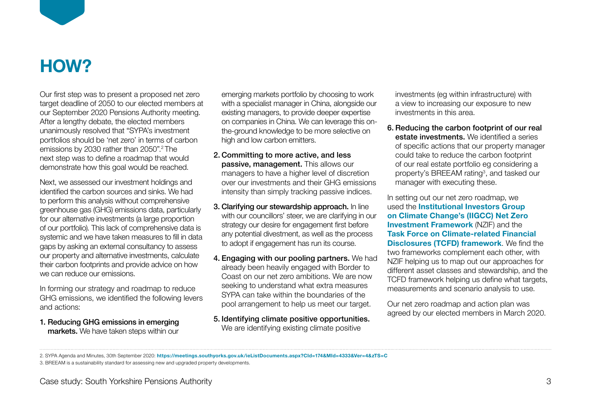

### **HOW?**

Our first step was to present a proposed net zero target deadline of 2050 to our elected members at our September 2020 Pensions Authority meeting. After a lengthy debate, the elected members unanimously resolved that "SYPA's investment portfolios should be 'net zero' in terms of carbon emissions by 2030 rather than 2050".2 The next step was to define a roadmap that would demonstrate how this goal would be reached.

Next, we assessed our investment holdings and identified the carbon sources and sinks. We had to perform this analysis without comprehensive greenhouse gas (GHG) emissions data, particularly for our alternative investments (a large proportion of our portfolio). This lack of comprehensive data is systemic and we have taken measures to fill in data gaps by asking an external consultancy to assess our property and alternative investments, calculate their carbon footprints and provide advice on how we can reduce our emissions.

In forming our strategy and roadmap to reduce GHG emissions, we identified the following levers and actions:

1. Reducing GHG emissions in emerging markets. We have taken steps within our emerging markets portfolio by choosing to work with a specialist manager in China, alongside our existing managers, to provide deeper expertise on companies in China. We can leverage this onthe-ground knowledge to be more selective on high and low carbon emitters.

- 2. Committing to more active, and less passive, management. This allows our managers to have a higher level of discretion over our investments and their GHG emissions intensity than simply tracking passive indices.
- 3. Clarifying our stewardship approach. In line with our councillors' steer, we are clarifying in our strategy our desire for engagement first before any potential divestment, as well as the process to adopt if engagement has run its course.
- 4. Engaging with our pooling partners. We had already been heavily engaged with Border to Coast on our net zero ambitions. We are now seeking to understand what extra measures SYPA can take within the boundaries of the pool arrangement to help us meet our target.
- 5. Identifying climate positive opportunities. We are identifying existing climate positive

investments (eg within infrastructure) with a view to increasing our exposure to new investments in this area.

6. Reducing the carbon footprint of our real estate investments. We identified a series of specific actions that our property manager could take to reduce the carbon footprint of our real estate portfolio eg considering a property's BREEAM rating<sup>3</sup>, and tasked our manager with executing these.

In setting out our net zero roadmap, we used the **[Institutional Investors Group](https://www.iigcc.org/resource/net-zero-investment-framework-implementation-guide/)  [on Climate Change's \(IIGCC\) Net Zero](https://www.iigcc.org/resource/net-zero-investment-framework-implementation-guide/)  [Investment Framework](https://www.iigcc.org/resource/net-zero-investment-framework-implementation-guide/)** (NZIF) and the **[Task Force on Climate-related Financial](https://www.fsb-tcfd.org/)  [Disclosures \(TCFD\) framework](https://www.fsb-tcfd.org/)**. We find the two frameworks complement each other, with NZIF helping us to map out our approaches for different asset classes and stewardship, and the TCFD framework helping us define what targets, measurements and scenario analysis to use.

Our net zero roadmap and action plan was agreed by our elected members in March 2020.

<sup>2.</sup> SYPA Agenda and Minutes, 30th September 2020: **<https://meetings.southyorks.gov.uk/ieListDocuments.aspx?CId=174&MId=4333&Ver=4&zTS=C>**

<sup>3.</sup> BREEAM is a sustainability standard for assessing new and upgraded property developments.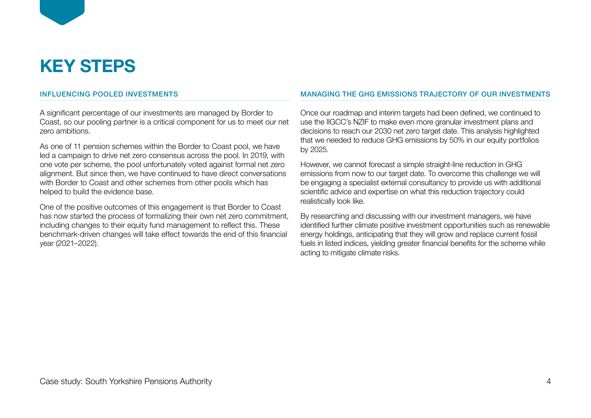# **KEY STEPS**

### INFLUENCING POOLED INVESTMENTS

A significant percentage of our investments are managed by Border to Coast, so our pooling partner is a critical component for us to meet our net zero ambitions.

As one of 11 pension schemes within the Border to Coast pool, we have led a campaign to drive net zero consensus across the pool. In 2019, with one vote per scheme, the pool unfortunately voted against formal net zero alignment. But since then, we have continued to have direct conversations with Border to Coast and other schemes from other pools which has helped to build the evidence base.

One of the positive outcomes of this engagement is that Border to Coast has now started the process of formalizing their own net zero commitment, including changes to their equity fund management to reflect this. These benchmark-driven changes will take effect towards the end of this financial year (2021–2022).

#### MANAGING THE GHG EMISSIONS TRAJECTORY OF OUR INVESTMENTS

Once our roadmap and interim targets had been defined, we continued to use the IIGCC's NZIF to make even more granular investment plans and decisions to reach our 2030 net zero target date. This analysis highlighted that we needed to reduce GHG emissions by 50% in our equity portfolios by 2025.

However, we cannot forecast a simple straight-line reduction in GHG emissions from now to our target date. To overcome this challenge we will be engaging a specialist external consultancy to provide us with additional scientific advice and expertise on what this reduction trajectory could realistically look like.

By researching and discussing with our investment managers, we have identified further climate positive investment opportunities such as renewable energy holdings, anticipating that they will grow and replace current fossil fuels in listed indices, yielding greater financial benefits for the scheme while acting to mitigate climate risks.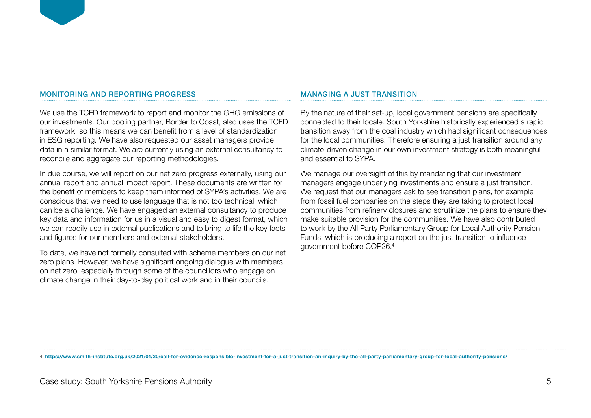#### MONITORING AND REPORTING PROGRESS

We use the TCFD framework to report and monitor the GHG emissions of our investments. Our pooling partner, Border to Coast, also uses the TCFD framework, so this means we can benefit from a level of standardization in ESG reporting. We have also requested our asset managers provide data in a similar format. We are currently using an external consultancy to reconcile and aggregate our reporting methodologies.

In due course, we will report on our net zero progress externally, using our annual report and annual impact report. These documents are written for the benefit of members to keep them informed of SYPA's activities. We are conscious that we need to use language that is not too technical, which can be a challenge. We have engaged an external consultancy to produce key data and information for us in a visual and easy to digest format, which we can readily use in external publications and to bring to life the key facts and figures for our members and external stakeholders.

To date, we have not formally consulted with scheme members on our net zero plans. However, we have significant ongoing dialogue with members on net zero, especially through some of the councillors who engage on climate change in their day-to-day political work and in their councils.

#### MANAGING A JUST TRANSITION

By the nature of their set-up, local government pensions are specifically connected to their locale. South Yorkshire historically experienced a rapid transition away from the coal industry which had significant consequences for the local communities. Therefore ensuring a just transition around any climate-driven change in our own investment strategy is both meaningful and essential to SYPA.

We manage our oversight of this by mandating that our investment managers engage underlying investments and ensure a just transition. We request that our managers ask to see transition plans, for example from fossil fuel companies on the steps they are taking to protect local communities from refinery closures and scrutinize the plans to ensure they make suitable provision for the communities. We have also contributed to work by the All Party Parliamentary Group for Local Authority Pension Funds, which is producing a report on the just transition to influence government before COP26.<sup>4</sup>

4. **<https://www.smith-institute.org.uk/2021/01/20/call-for-evidence-responsible-investment-for-a-just-transition-an-inquiry-by-the-all-party-parliamentary-group-for-local-authority-pensions/>**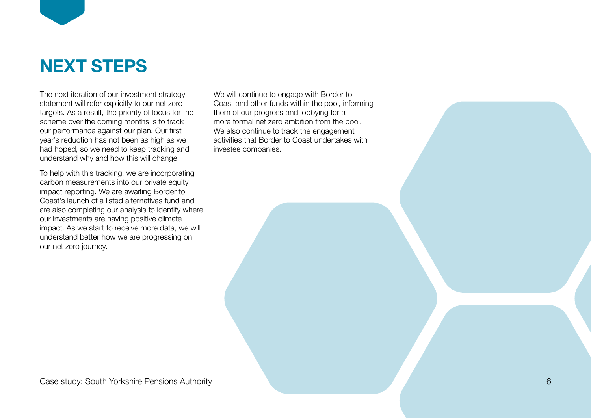

The next iteration of our investment strategy statement will refer explicitly to our net zero targets. As a result, the priority of focus for the scheme over the coming months is to track our performance against our plan. Our first year's reduction has not been as high as we had hoped, so we need to keep tracking and understand why and how this will change.

To help with this tracking, we are incorporating carbon measurements into our private equity impact reporting. We are awaiting Border to Coast's launch of a listed alternatives fund and are also completing our analysis to identify where our investments are having positive climate impact. As we start to receive more data, we will understand better how we are progressing on our net zero journey.

We will continue to engage with Border to Coast and other funds within the pool, informing them of our progress and lobbying for a more formal net zero ambition from the pool. We also continue to track the engagement activities that Border to Coast undertakes with investee companies.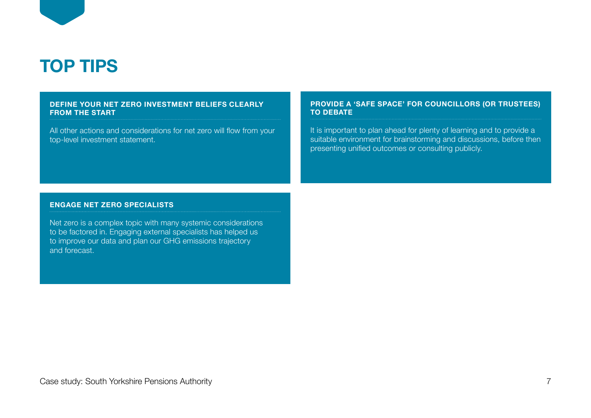

## **TOP TIPS**

#### **DEFINE YOUR NET ZERO INVESTMENT BELIEFS CLEARLY FROM THE START**

All other actions and considerations for net zero will flow from your top-level investment statement.

#### **PROVIDE A 'SAFE SPACE' FOR COUNCILLORS (OR TRUSTEES) TO DEBATE**

It is important to plan ahead for plenty of learning and to provide a suitable environment for brainstorming and discussions, before then presenting unified outcomes or consulting publicly.

#### **ENGAGE NET ZERO SPECIALISTS**

Net zero is a complex topic with many systemic considerations to be factored in. Engaging external specialists has helped us to improve our data and plan our GHG emissions trajectory and forecast.